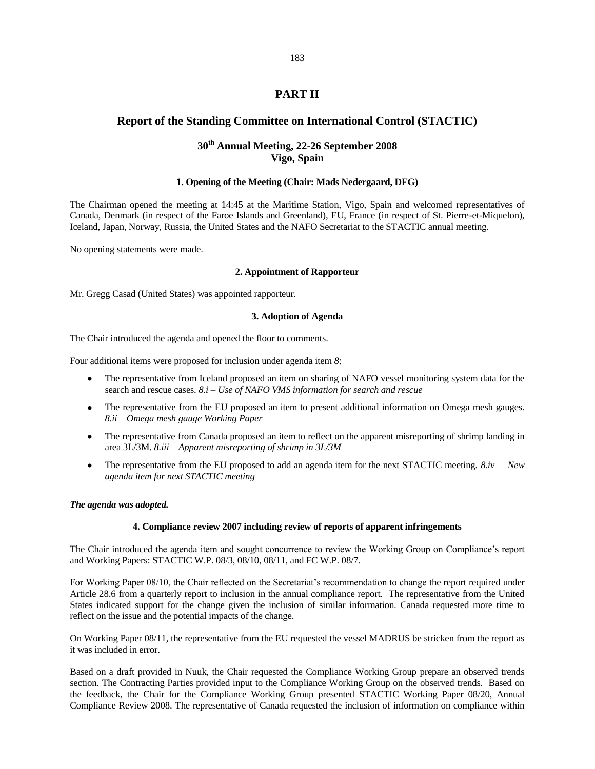# **PART II**

# **Report of the Standing Committee on International Control (STACTIC)**

# **30th Annual Meeting, 22-26 September 2008 Vigo, Spain**

## **1. Opening of the Meeting (Chair: Mads Nedergaard, DFG)**

The Chairman opened the meeting at 14:45 at the Maritime Station, Vigo, Spain and welcomed representatives of Canada, Denmark (in respect of the Faroe Islands and Greenland), EU, France (in respect of St. Pierre-et-Miquelon), Iceland, Japan, Norway, Russia, the United States and the NAFO Secretariat to the STACTIC annual meeting.

No opening statements were made.

## **2. Appointment of Rapporteur**

Mr. Gregg Casad (United States) was appointed rapporteur.

## **3. Adoption of Agenda**

The Chair introduced the agenda and opened the floor to comments.

Four additional items were proposed for inclusion under agenda item *8*:

- The representative from Iceland proposed an item on sharing of NAFO vessel monitoring system data for the  $\bullet$ search and rescue cases. *8.i – Use of NAFO VMS information for search and rescue*
- The representative from the EU proposed an item to present additional information on Omega mesh gauges. *8.ii – Omega mesh gauge Working Paper*
- The representative from Canada proposed an item to reflect on the apparent misreporting of shrimp landing in area 3L/3M. *8.iii – Apparent misreporting of shrimp in 3L/3M*
- $\bullet$ The representative from the EU proposed to add an agenda item for the next STACTIC meeting. *8.iv – New agenda item for next STACTIC meeting*

#### *The agenda was adopted.*

#### **4. Compliance review 2007 including review of reports of apparent infringements**

The Chair introduced the agenda item and sought concurrence to review the Working Group on Compliance"s report and Working Papers: STACTIC W.P. 08/3, 08/10, 08/11, and FC W.P. 08/7.

For Working Paper 08/10, the Chair reflected on the Secretariat's recommendation to change the report required under Article 28.6 from a quarterly report to inclusion in the annual compliance report. The representative from the United States indicated support for the change given the inclusion of similar information. Canada requested more time to reflect on the issue and the potential impacts of the change.

On Working Paper 08/11, the representative from the EU requested the vessel MADRUS be stricken from the report as it was included in error.

Based on a draft provided in Nuuk, the Chair requested the Compliance Working Group prepare an observed trends section. The Contracting Parties provided input to the Compliance Working Group on the observed trends. Based on the feedback, the Chair for the Compliance Working Group presented STACTIC Working Paper 08/20, Annual Compliance Review 2008. The representative of Canada requested the inclusion of information on compliance within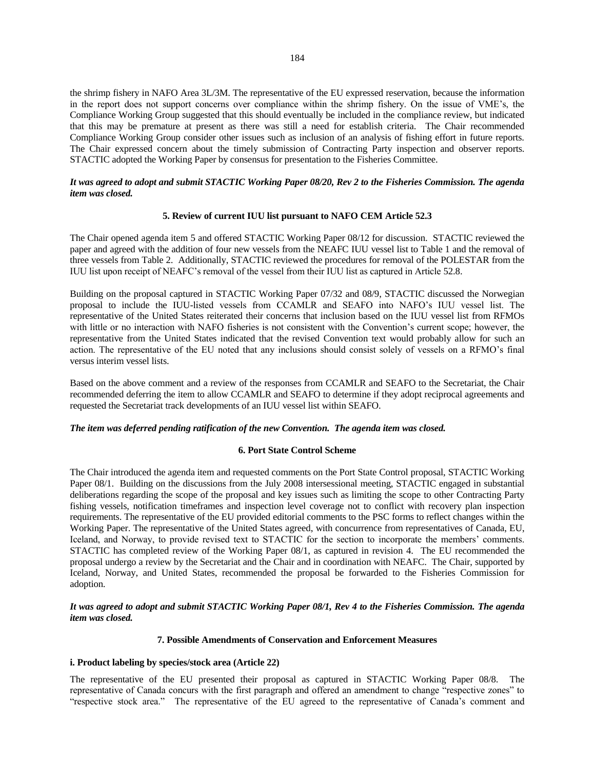the shrimp fishery in NAFO Area 3L/3M. The representative of the EU expressed reservation, because the information in the report does not support concerns over compliance within the shrimp fishery. On the issue of VME"s, the Compliance Working Group suggested that this should eventually be included in the compliance review, but indicated that this may be premature at present as there was still a need for establish criteria. The Chair recommended Compliance Working Group consider other issues such as inclusion of an analysis of fishing effort in future reports. The Chair expressed concern about the timely submission of Contracting Party inspection and observer reports. STACTIC adopted the Working Paper by consensus for presentation to the Fisheries Committee.

## *It was agreed to adopt and submit STACTIC Working Paper 08/20, Rev 2 to the Fisheries Commission. The agenda item was closed.*

## **5. Review of current IUU list pursuant to NAFO CEM Article 52.3**

The Chair opened agenda item 5 and offered STACTIC Working Paper 08/12 for discussion. STACTIC reviewed the paper and agreed with the addition of four new vessels from the NEAFC IUU vessel list to Table 1 and the removal of three vessels from Table 2. Additionally, STACTIC reviewed the procedures for removal of the POLESTAR from the IUU list upon receipt of NEAFC"s removal of the vessel from their IUU list as captured in Article 52.8.

Building on the proposal captured in STACTIC Working Paper 07/32 and 08/9, STACTIC discussed the Norwegian proposal to include the IUU-listed vessels from CCAMLR and SEAFO into NAFO"s IUU vessel list. The representative of the United States reiterated their concerns that inclusion based on the IUU vessel list from RFMOs with little or no interaction with NAFO fisheries is not consistent with the Convention's current scope; however, the representative from the United States indicated that the revised Convention text would probably allow for such an action. The representative of the EU noted that any inclusions should consist solely of vessels on a RFMO"s final versus interim vessel lists.

Based on the above comment and a review of the responses from CCAMLR and SEAFO to the Secretariat, the Chair recommended deferring the item to allow CCAMLR and SEAFO to determine if they adopt reciprocal agreements and requested the Secretariat track developments of an IUU vessel list within SEAFO.

## *The item was deferred pending ratification of the new Convention. The agenda item was closed.*

#### **6. Port State Control Scheme**

The Chair introduced the agenda item and requested comments on the Port State Control proposal, STACTIC Working Paper 08/1. Building on the discussions from the July 2008 intersessional meeting, STACTIC engaged in substantial deliberations regarding the scope of the proposal and key issues such as limiting the scope to other Contracting Party fishing vessels, notification timeframes and inspection level coverage not to conflict with recovery plan inspection requirements. The representative of the EU provided editorial comments to the PSC forms to reflect changes within the Working Paper. The representative of the United States agreed, with concurrence from representatives of Canada, EU, Iceland, and Norway, to provide revised text to STACTIC for the section to incorporate the members' comments. STACTIC has completed review of the Working Paper 08/1, as captured in revision 4. The EU recommended the proposal undergo a review by the Secretariat and the Chair and in coordination with NEAFC. The Chair, supported by Iceland, Norway, and United States, recommended the proposal be forwarded to the Fisheries Commission for adoption.

## *It was agreed to adopt and submit STACTIC Working Paper 08/1, Rev 4 to the Fisheries Commission. The agenda item was closed.*

# **7. Possible Amendments of Conservation and Enforcement Measures**

## **i. Product labeling by species/stock area (Article 22)**

The representative of the EU presented their proposal as captured in STACTIC Working Paper 08/8. The representative of Canada concurs with the first paragraph and offered an amendment to change "respective zones" to "respective stock area." The representative of the EU agreed to the representative of Canada"s comment and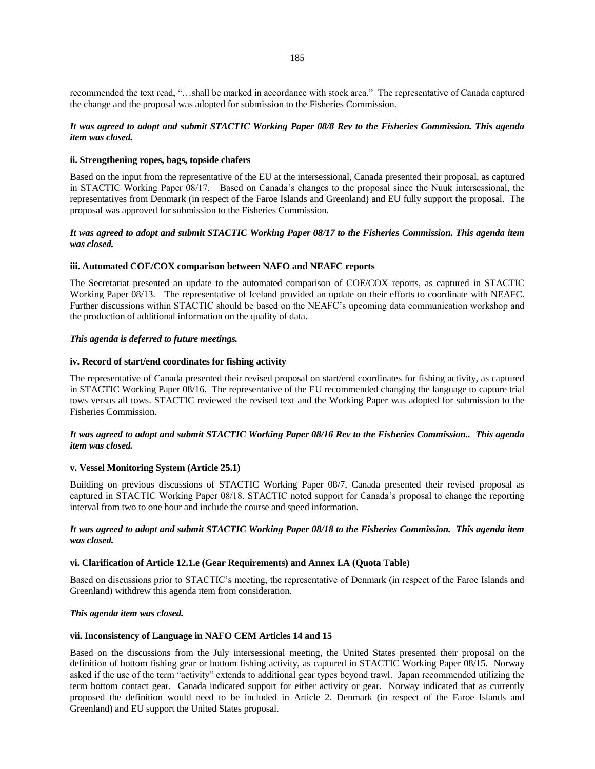recommended the text read, "…shall be marked in accordance with stock area." The representative of Canada captured the change and the proposal was adopted for submission to the Fisheries Commission.

## *It was agreed to adopt and submit STACTIC Working Paper 08/8 Rev to the Fisheries Commission. This agenda item was closed.*

## **ii. Strengthening ropes, bags, topside chafers**

Based on the input from the representative of the EU at the intersessional, Canada presented their proposal, as captured in STACTIC Working Paper 08/17. Based on Canada"s changes to the proposal since the Nuuk intersessional, the representatives from Denmark (in respect of the Faroe Islands and Greenland) and EU fully support the proposal. The proposal was approved for submission to the Fisheries Commission.

## *It was agreed to adopt and submit STACTIC Working Paper 08/17 to the Fisheries Commission. This agenda item was closed.*

## **iii. Automated COE/COX comparison between NAFO and NEAFC reports**

The Secretariat presented an update to the automated comparison of COE/COX reports, as captured in STACTIC Working Paper 08/13. The representative of Iceland provided an update on their efforts to coordinate with NEAFC. Further discussions within STACTIC should be based on the NEAFC"s upcoming data communication workshop and the production of additional information on the quality of data.

#### *This agenda is deferred to future meetings.*

#### **iv. Record of start/end coordinates for fishing activity**

The representative of Canada presented their revised proposal on start/end coordinates for fishing activity, as captured in STACTIC Working Paper 08/16. The representative of the EU recommended changing the language to capture trial tows versus all tows. STACTIC reviewed the revised text and the Working Paper was adopted for submission to the Fisheries Commission.

## *It was agreed to adopt and submit STACTIC Working Paper 08/16 Rev to the Fisheries Commission.. This agenda item was closed.*

#### **v. Vessel Monitoring System (Article 25.1)**

Building on previous discussions of STACTIC Working Paper 08/7, Canada presented their revised proposal as captured in STACTIC Working Paper 08/18. STACTIC noted support for Canada"s proposal to change the reporting interval from two to one hour and include the course and speed information.

## *It was agreed to adopt and submit STACTIC Working Paper 08/18 to the Fisheries Commission. This agenda item was closed.*

#### **vi. Clarification of Article 12.1.e (Gear Requirements) and Annex I.A (Quota Table)**

Based on discussions prior to STACTIC"s meeting, the representative of Denmark (in respect of the Faroe Islands and Greenland) withdrew this agenda item from consideration.

#### *This agenda item was closed.*

## **vii. Inconsistency of Language in NAFO CEM Articles 14 and 15**

Based on the discussions from the July intersessional meeting, the United States presented their proposal on the definition of bottom fishing gear or bottom fishing activity, as captured in STACTIC Working Paper 08/15. Norway asked if the use of the term "activity" extends to additional gear types beyond trawl. Japan recommended utilizing the term bottom contact gear. Canada indicated support for either activity or gear. Norway indicated that as currently proposed the definition would need to be included in Article 2. Denmark (in respect of the Faroe Islands and Greenland) and EU support the United States proposal.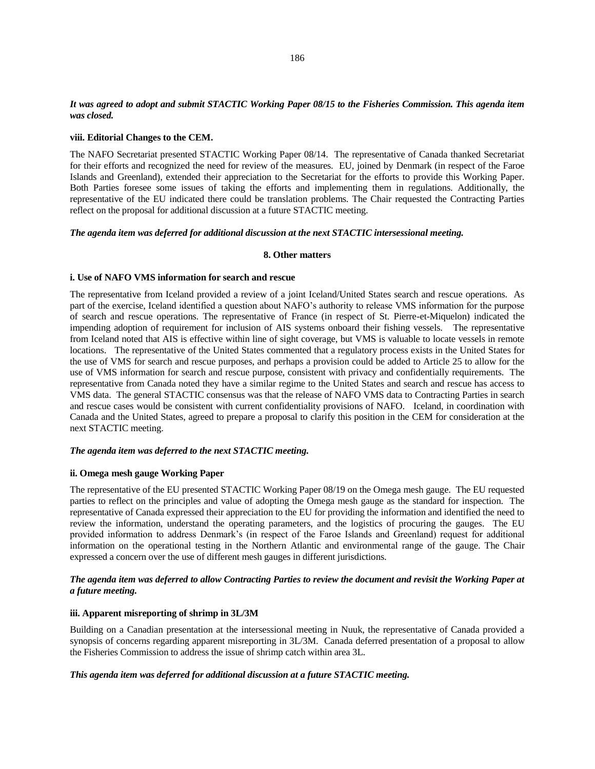## *It was agreed to adopt and submit STACTIC Working Paper 08/15 to the Fisheries Commission. This agenda item was closed.*

#### **viii. Editorial Changes to the CEM.**

The NAFO Secretariat presented STACTIC Working Paper 08/14. The representative of Canada thanked Secretariat for their efforts and recognized the need for review of the measures. EU, joined by Denmark (in respect of the Faroe Islands and Greenland), extended their appreciation to the Secretariat for the efforts to provide this Working Paper. Both Parties foresee some issues of taking the efforts and implementing them in regulations. Additionally, the representative of the EU indicated there could be translation problems. The Chair requested the Contracting Parties reflect on the proposal for additional discussion at a future STACTIC meeting.

#### *The agenda item was deferred for additional discussion at the next STACTIC intersessional meeting.*

## **8. Other matters**

#### **i. Use of NAFO VMS information for search and rescue**

The representative from Iceland provided a review of a joint Iceland/United States search and rescue operations. As part of the exercise, Iceland identified a question about NAFO"s authority to release VMS information for the purpose of search and rescue operations. The representative of France (in respect of St. Pierre-et-Miquelon) indicated the impending adoption of requirement for inclusion of AIS systems onboard their fishing vessels. The representative from Iceland noted that AIS is effective within line of sight coverage, but VMS is valuable to locate vessels in remote locations. The representative of the United States commented that a regulatory process exists in the United States for the use of VMS for search and rescue purposes, and perhaps a provision could be added to Article 25 to allow for the use of VMS information for search and rescue purpose, consistent with privacy and confidentially requirements. The representative from Canada noted they have a similar regime to the United States and search and rescue has access to VMS data. The general STACTIC consensus was that the release of NAFO VMS data to Contracting Parties in search and rescue cases would be consistent with current confidentiality provisions of NAFO. Iceland, in coordination with Canada and the United States, agreed to prepare a proposal to clarify this position in the CEM for consideration at the next STACTIC meeting.

#### *The agenda item was deferred to the next STACTIC meeting.*

## **ii. Omega mesh gauge Working Paper**

The representative of the EU presented STACTIC Working Paper 08/19 on the Omega mesh gauge. The EU requested parties to reflect on the principles and value of adopting the Omega mesh gauge as the standard for inspection. The representative of Canada expressed their appreciation to the EU for providing the information and identified the need to review the information, understand the operating parameters, and the logistics of procuring the gauges. The EU provided information to address Denmark"s (in respect of the Faroe Islands and Greenland) request for additional information on the operational testing in the Northern Atlantic and environmental range of the gauge. The Chair expressed a concern over the use of different mesh gauges in different jurisdictions.

## *The agenda item was deferred to allow Contracting Parties to review the document and revisit the Working Paper at a future meeting.*

#### **iii. Apparent misreporting of shrimp in 3L/3M**

Building on a Canadian presentation at the intersessional meeting in Nuuk, the representative of Canada provided a synopsis of concerns regarding apparent misreporting in 3L/3M. Canada deferred presentation of a proposal to allow the Fisheries Commission to address the issue of shrimp catch within area 3L.

## *This agenda item was deferred for additional discussion at a future STACTIC meeting.*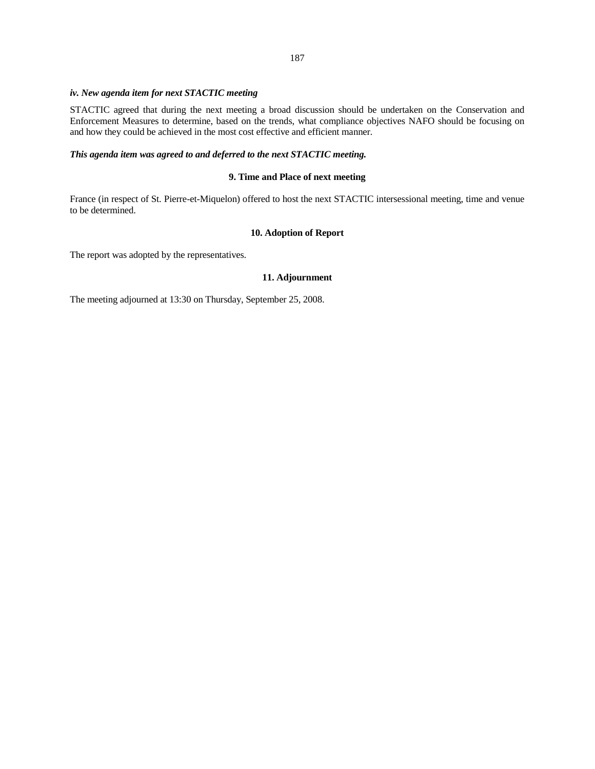### 187

## *iv. New agenda item for next STACTIC meeting*

STACTIC agreed that during the next meeting a broad discussion should be undertaken on the Conservation and Enforcement Measures to determine, based on the trends, what compliance objectives NAFO should be focusing on and how they could be achieved in the most cost effective and efficient manner.

# *This agenda item was agreed to and deferred to the next STACTIC meeting.*

## **9. Time and Place of next meeting**

France (in respect of St. Pierre-et-Miquelon) offered to host the next STACTIC intersessional meeting, time and venue to be determined.

## **10. Adoption of Report**

The report was adopted by the representatives.

## **11. Adjournment**

The meeting adjourned at 13:30 on Thursday, September 25, 2008.